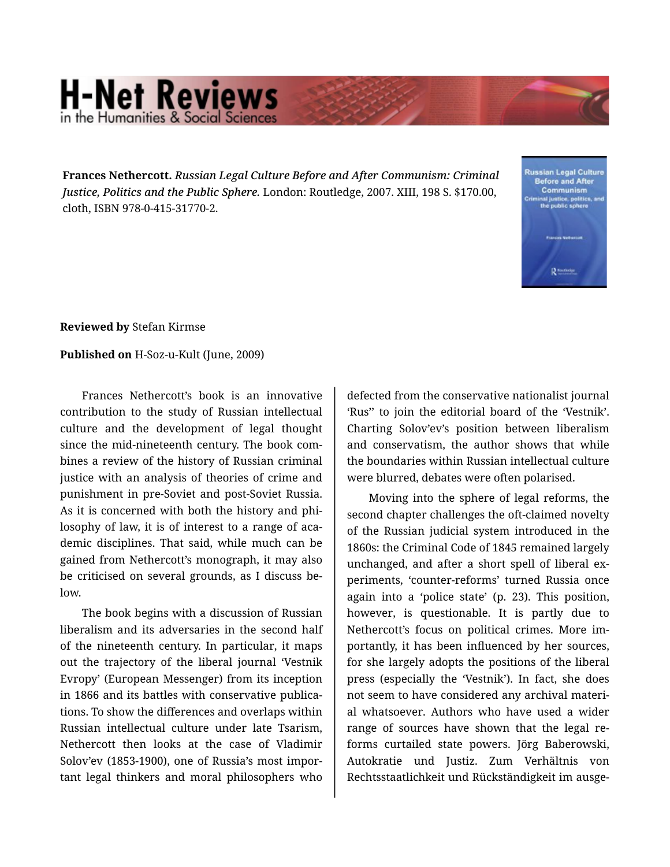## **H-Net Reviews** in the Humanities & Social S

**Frances Nethercott.** *Russian Legal Culture Before and After Communism: Criminal Justice, Politics and the Public Sphere.* London: Routledge, 2007. XIII, 198 S. \$170.00, cloth, ISBN 978-0-415-31770-2.



**Reviewed by** Stefan Kirmse

**Published on** H-Soz-u-Kult (June, 2009)

Frances Nethercott's book is an innovative contribution to the study of Russian intellectual culture and the development of legal thought since the mid-nineteenth century. The book com‐ bines a review of the history of Russian criminal justice with an analysis of theories of crime and punishment in pre-Soviet and post-Soviet Russia. As it is concerned with both the history and phi‐ losophy of law, it is of interest to a range of academic disciplines. That said, while much can be gained from Nethercott's monograph, it may also be criticised on several grounds, as I discuss be‐ low.

The book begins with a discussion of Russian liberalism and its adversaries in the second half of the nineteenth century. In particular, it maps out the trajectory of the liberal journal 'Vestnik Evropy' (European Messenger) from its inception in 1866 and its battles with conservative publica‐ tions. To show the differences and overlaps within Russian intellectual culture under late Tsarism, Nethercott then looks at the case of Vladimir Solov'ev (1853-1900), one of Russia's most impor‐ tant legal thinkers and moral philosophers who

defected from the conservative nationalist journal 'Rus'' to join the editorial board of the 'Vestnik'. Charting Solov'ev's position between liberalism and conservatism, the author shows that while the boundaries within Russian intellectual culture were blurred, debates were often polarised.

Moving into the sphere of legal reforms, the second chapter challenges the oft-claimed novelty of the Russian judicial system introduced in the 1860s: the Criminal Code of 1845 remained largely unchanged, and after a short spell of liberal ex‐ periments, 'counter-reforms' turned Russia once again into a 'police state' (p. 23). This position, however, is questionable. It is partly due to Nethercott's focus on political crimes. More im‐ portantly, it has been influenced by her sources, for she largely adopts the positions of the liberal press (especially the 'Vestnik'). In fact, she does not seem to have considered any archival materi‐ al whatsoever. Authors who have used a wider range of sources have shown that the legal re‐ forms curtailed state powers. Jörg Baberowski, Autokratie und Justiz. Zum Verhältnis von Rechtsstaatlichkeit und Rückständigkeit im ausge‐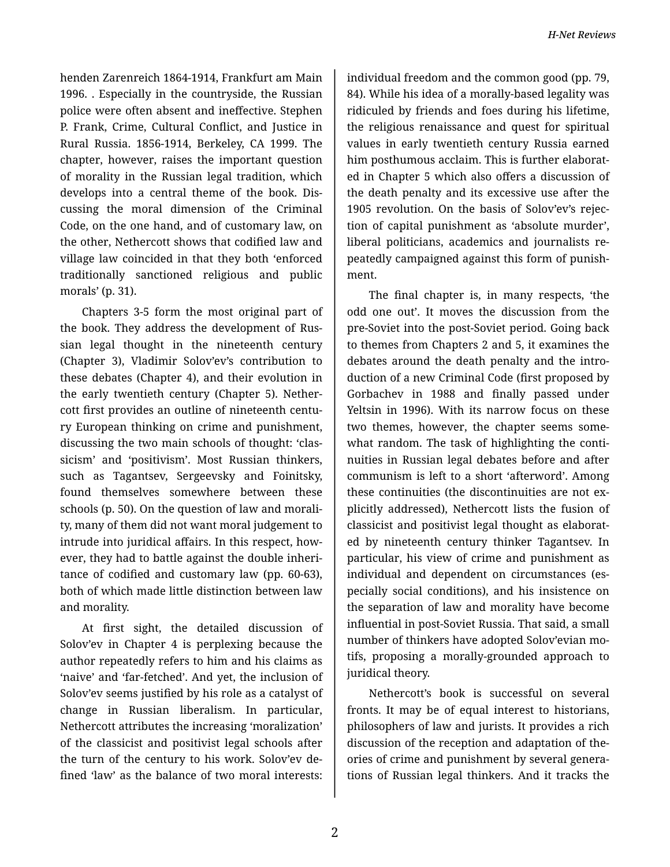henden Zarenreich 1864-1914, Frankfurt am Main 1996. . Especially in the countryside, the Russian police were often absent and ineffective. Stephen P. Frank, Crime, Cultural Conflict, and Justice in Rural Russia. 1856-1914, Berkeley, CA 1999. The chapter, however, raises the important question of morality in the Russian legal tradition, which develops into a central theme of the book. Dis‐ cussing the moral dimension of the Criminal Code, on the one hand, and of customary law, on the other, Nethercott shows that codified law and village law coincided in that they both 'enforced traditionally sanctioned religious and public morals' (p. 31).

Chapters 3-5 form the most original part of the book. They address the development of Rus‐ sian legal thought in the nineteenth century (Chapter 3), Vladimir Solov'ev's contribution to these debates (Chapter 4), and their evolution in the early twentieth century (Chapter 5). Nether‐ cott first provides an outline of nineteenth centu‐ ry European thinking on crime and punishment, discussing the two main schools of thought: 'clas‐ sicism' and 'positivism'. Most Russian thinkers, such as Tagantsev, Sergeevsky and Foinitsky, found themselves somewhere between these schools (p. 50). On the question of law and morali‐ ty, many of them did not want moral judgement to intrude into juridical affairs. In this respect, how‐ ever, they had to battle against the double inheri‐ tance of codified and customary law (pp. 60-63), both of which made little distinction between law and morality.

At first sight, the detailed discussion of Solov'ev in Chapter 4 is perplexing because the author repeatedly refers to him and his claims as 'naive' and 'far-fetched'. And yet, the inclusion of Solov'ev seems justified by his role as a catalyst of change in Russian liberalism. In particular, Nethercott attributes the increasing 'moralization' of the classicist and positivist legal schools after the turn of the century to his work. Solov'ev de‐ fined 'law' as the balance of two moral interests:

individual freedom and the common good (pp. 79, 84). While his idea of a morally-based legality was ridiculed by friends and foes during his lifetime, the religious renaissance and quest for spiritual values in early twentieth century Russia earned him posthumous acclaim. This is further elaborat‐ ed in Chapter 5 which also offers a discussion of the death penalty and its excessive use after the 1905 revolution. On the basis of Solov'ev's rejec‐ tion of capital punishment as 'absolute murder', liberal politicians, academics and journalists re‐ peatedly campaigned against this form of punish‐ ment.

The final chapter is, in many respects, 'the odd one out'. It moves the discussion from the pre-Soviet into the post-Soviet period. Going back to themes from Chapters 2 and 5, it examines the debates around the death penalty and the intro‐ duction of a new Criminal Code (first proposed by Gorbachev in 1988 and finally passed under Yeltsin in 1996). With its narrow focus on these two themes, however, the chapter seems some‐ what random. The task of highlighting the conti‐ nuities in Russian legal debates before and after communism is left to a short 'afterword'. Among these continuities (the discontinuities are not ex‐ plicitly addressed), Nethercott lists the fusion of classicist and positivist legal thought as elaborat‐ ed by nineteenth century thinker Tagantsev. In particular, his view of crime and punishment as individual and dependent on circumstances (es‐ pecially social conditions), and his insistence on the separation of law and morality have become influential in post-Soviet Russia. That said, a small number of thinkers have adopted Solov'evian mo‐ tifs, proposing a morally-grounded approach to juridical theory.

Nethercott's book is successful on several fronts. It may be of equal interest to historians, philosophers of law and jurists. It provides a rich discussion of the reception and adaptation of the‐ ories of crime and punishment by several genera‐ tions of Russian legal thinkers. And it tracks the

2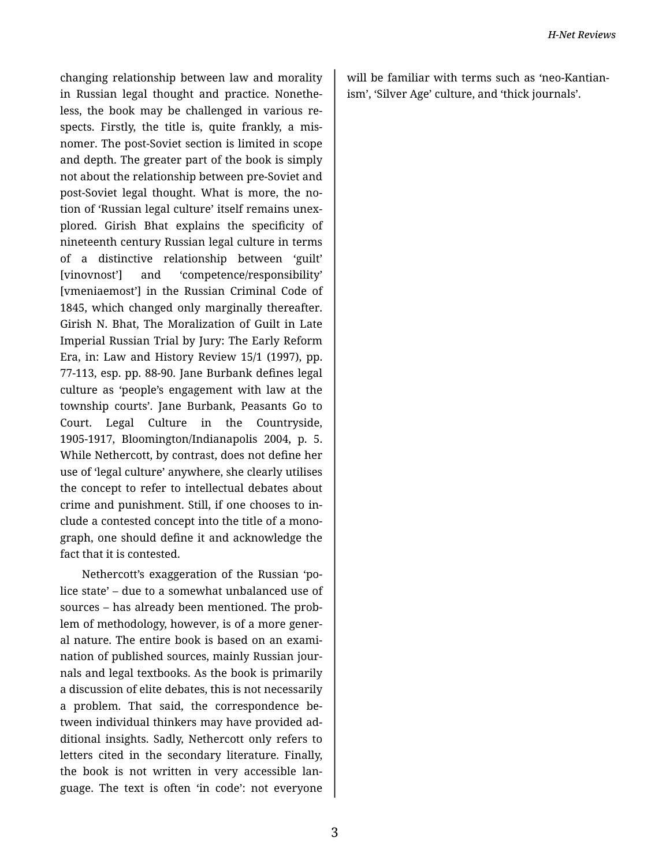changing relationship between law and morality in Russian legal thought and practice. Nonethe‐ less, the book may be challenged in various re‐ spects. Firstly, the title is, quite frankly, a mis‐ nomer. The post-Soviet section is limited in scope and depth. The greater part of the book is simply not about the relationship between pre-Soviet and post-Soviet legal thought. What is more, the no‐ tion of 'Russian legal culture' itself remains unex‐ plored. Girish Bhat explains the specificity of nineteenth century Russian legal culture in terms of a distinctive relationship between 'guilt' [vinovnost'] and 'competence/responsibility' [vmeniaemost'] in the Russian Criminal Code of 1845, which changed only marginally thereafter. Girish N. Bhat, The Moralization of Guilt in Late Imperial Russian Trial by Jury: The Early Reform Era, in: Law and History Review 15/1 (1997), pp. 77-113, esp. pp. 88-90. Jane Burbank defines legal culture as 'people's engagement with law at the township courts'. Jane Burbank, Peasants Go to Court. Legal Culture in the Countryside, 1905-1917, Bloomington/Indianapolis 2004, p. 5. While Nethercott, by contrast, does not define her use of 'legal culture' anywhere, she clearly utilises the concept to refer to intellectual debates about crime and punishment. Still, if one chooses to in‐ clude a contested concept into the title of a mono‐ graph, one should define it and acknowledge the fact that it is contested.

Nethercott's exaggeration of the Russian 'po‐ lice state' – due to a somewhat unbalanced use of sources – has already been mentioned. The problem of methodology, however, is of a more gener‐ al nature. The entire book is based on an exami‐ nation of published sources, mainly Russian jour‐ nals and legal textbooks. As the book is primarily a discussion of elite debates, this is not necessarily a problem. That said, the correspondence be‐ tween individual thinkers may have provided ad‐ ditional insights. Sadly, Nethercott only refers to letters cited in the secondary literature. Finally, the book is not written in very accessible lan‐ guage. The text is often 'in code': not everyone

will be familiar with terms such as 'neo-Kantianism', 'Silver Age' culture, and 'thick journals'.